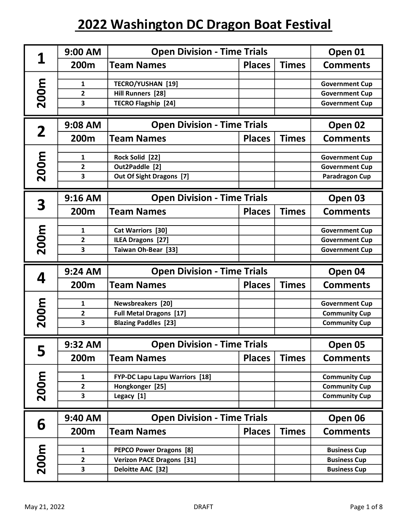| 1                       | 9:00 AM           | <b>Open Division - Time Trials</b>                       |               |              | Open 01                                      |
|-------------------------|-------------------|----------------------------------------------------------|---------------|--------------|----------------------------------------------|
|                         | 200m              | <b>Team Names</b>                                        | <b>Places</b> | <b>Times</b> | <b>Comments</b>                              |
|                         | 1                 | <b>TECRO/YUSHAN [19]</b>                                 |               |              | <b>Government Cup</b>                        |
|                         | $\overline{2}$    | Hill Runners [28]                                        |               |              | <b>Government Cup</b>                        |
| 200m                    | 3                 | <b>TECRO Flagship [24]</b>                               |               |              | <b>Government Cup</b>                        |
|                         |                   |                                                          |               |              |                                              |
| $\overline{\mathbf{2}}$ | 9:08 AM           | <b>Open Division - Time Trials</b>                       |               |              | Open 02                                      |
|                         | 200m              | <b>Team Names</b>                                        | <b>Places</b> | <b>Times</b> | <b>Comments</b>                              |
| 200m                    | 1                 | Rock Solid [22]                                          |               |              | <b>Government Cup</b>                        |
|                         | $\overline{2}$    | Out2Paddle [2]                                           |               |              | <b>Government Cup</b>                        |
|                         | 3                 | Out Of Sight Dragons [7]                                 |               |              | Paradragon Cup                               |
|                         |                   |                                                          |               |              |                                              |
| 3                       | $9:16$ AM         | <b>Open Division - Time Trials</b>                       |               |              | Open 03                                      |
|                         | 200m              | <b>Team Names</b>                                        | <b>Places</b> | <b>Times</b> | <b>Comments</b>                              |
|                         | $\mathbf{1}$      | Cat Warriors [30]                                        |               |              | <b>Government Cup</b>                        |
|                         | 2                 | ILEA Dragons [27]                                        |               |              | <b>Government Cup</b>                        |
| 200m                    | 3                 | Taiwan Oh-Bear [33]                                      |               |              | <b>Government Cup</b>                        |
|                         |                   |                                                          |               |              |                                              |
|                         |                   |                                                          |               |              |                                              |
|                         | 9:24 AM           | <b>Open Division - Time Trials</b>                       |               |              | Open 04                                      |
| 4                       | 200m              | <b>Team Names</b>                                        | <b>Places</b> | <b>Times</b> | <b>Comments</b>                              |
|                         | $\mathbf{1}$      | <b>Newsbreakers</b> [20]                                 |               |              | <b>Government Cup</b>                        |
|                         | $\mathbf{2}$      | <b>Full Metal Dragons [17]</b>                           |               |              | <b>Community Cup</b>                         |
|                         | 3                 | <b>Blazing Paddles [23]</b>                              |               |              | <b>Community Cup</b>                         |
| 200m                    |                   |                                                          |               |              |                                              |
|                         | $9:32$ AM         | <b>Open Division - Time Trials</b>                       |               |              | Open 05                                      |
| 5                       | 200m              | <b>Team Names</b>                                        | <b>Places</b> | <b>Times</b> | <b>Comments</b>                              |
|                         | 1                 |                                                          |               |              |                                              |
|                         | $\overline{2}$    | <b>FYP-DC Lapu Lapu Warriors [18]</b><br>Hongkonger [25] |               |              | <b>Community Cup</b><br><b>Community Cup</b> |
|                         | 3                 | Legacy [1]                                               |               |              | <b>Community Cup</b>                         |
| 200m                    |                   |                                                          |               |              |                                              |
|                         | 9:40 AM           | <b>Open Division - Time Trials</b>                       |               |              | Open 06                                      |
| 6                       | 200m              | <b>Team Names</b>                                        | <b>Places</b> | <b>Times</b> | <b>Comments</b>                              |
|                         | $\mathbf{1}$      |                                                          |               |              |                                              |
|                         |                   | <b>PEPCO Power Dragons [8]</b>                           |               |              | <b>Business Cup</b>                          |
| 200m                    | $\mathbf{2}$<br>3 | <b>Verizon PACE Dragons [31]</b><br>Deloitte AAC [32]    |               |              | <b>Business Cup</b><br><b>Business Cup</b>   |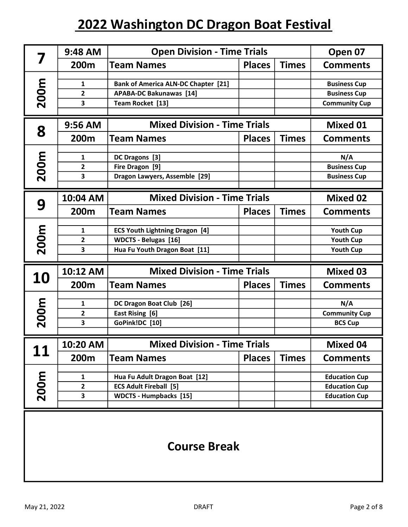|             | $9:48$ AM               | <b>Open Division - Time Trials</b>         |               |              | Open 07              |
|-------------|-------------------------|--------------------------------------------|---------------|--------------|----------------------|
|             | 200m                    | <b>Team Names</b>                          | <b>Places</b> | <b>Times</b> | <b>Comments</b>      |
|             |                         |                                            |               |              |                      |
| <b>200m</b> | 1                       | <b>Bank of America ALN-DC Chapter [21]</b> |               |              | <b>Business Cup</b>  |
|             | 2                       | <b>APABA-DC Bakunawas [14]</b>             |               |              | <b>Business Cup</b>  |
|             | 3                       | Team Rocket [13]                           |               |              | <b>Community Cup</b> |
|             |                         |                                            |               |              |                      |
| 8           | 9:56 AM                 | <b>Mixed Division - Time Trials</b>        |               |              | <b>Mixed 01</b>      |
|             | 200m                    | <b>Team Names</b>                          | <b>Places</b> | <b>Times</b> | <b>Comments</b>      |
|             | 1                       | DC Dragons [3]                             |               |              | N/A                  |
|             | 2                       | Fire Dragon [9]                            |               |              | <b>Business Cup</b>  |
| 200m        | 3                       | Dragon Lawyers, Assemble [29]              |               |              | <b>Business Cup</b>  |
|             |                         |                                            |               |              |                      |
|             | 10:04 AM                | <b>Mixed Division - Time Trials</b>        |               |              | <b>Mixed 02</b>      |
| 9           | 200m                    | <b>Team Names</b>                          | <b>Places</b> | <b>Times</b> | <b>Comments</b>      |
|             |                         |                                            |               |              |                      |
|             | 1                       | <b>ECS Youth Lightning Dragon [4]</b>      |               |              | <b>Youth Cup</b>     |
| 200m        | 2                       | <b>WDCTS - Belugas [16]</b>                |               |              | <b>Youth Cup</b>     |
|             | 3                       | Hua Fu Youth Dragon Boat [11]              |               |              | <b>Youth Cup</b>     |
|             | 10:12 AM                | <b>Mixed Division - Time Trials</b>        |               |              | <b>Mixed 03</b>      |
| 10          |                         |                                            |               |              |                      |
|             | 200m                    | <b>Team Names</b>                          | <b>Places</b> | <b>Times</b> | <b>Comments</b>      |
| 200m        | 1                       | DC Dragon Boat Club [26]                   |               |              | N/A                  |
|             | 2                       | East Rising [6]                            |               |              | <b>Community Cup</b> |
|             | 3                       | GoPink!DC [10]                             |               |              | <b>BCS Cup</b>       |
|             |                         |                                            |               |              |                      |
| 11          | 10:20 AM                | <b>Mixed Division - Time Trials</b>        |               |              | <b>Mixed 04</b>      |
|             | 200m                    | <b>Team Names</b>                          | <b>Places</b> | <b>Times</b> | <b>Comments</b>      |
|             | 1                       | Hua Fu Adult Dragon Boat [12]              |               |              | <b>Education Cup</b> |
|             | $\overline{\mathbf{c}}$ | <b>ECS Adult Fireball [5]</b>              |               |              | <b>Education Cup</b> |
| 200m        | 3                       | <b>WDCTS - Humpbacks [15]</b>              |               |              | <b>Education Cup</b> |
|             |                         |                                            |               |              |                      |
|             |                         |                                            |               |              |                      |

#### Course Break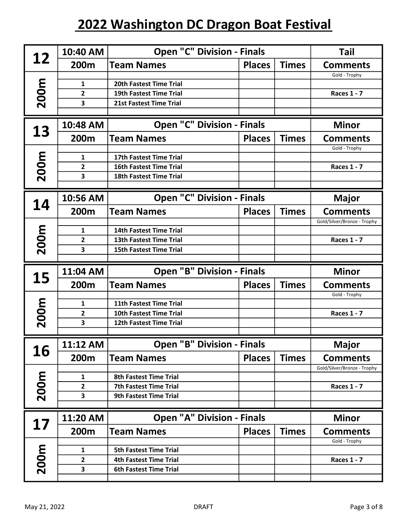| 12          | 10:40 AM                       | <b>Open "C" Division - Finals</b>                                |               |              | <b>Tail</b>                      |
|-------------|--------------------------------|------------------------------------------------------------------|---------------|--------------|----------------------------------|
|             | 200m                           | <b>Team Names</b>                                                | <b>Places</b> | <b>Times</b> | <b>Comments</b>                  |
|             |                                |                                                                  |               |              | Gold - Trophy                    |
| <b>200m</b> | $\mathbf{1}$<br>$\overline{2}$ | 20th Fastest Time Trial<br><b>19th Fastest Time Trial</b>        |               |              | <b>Races 1 - 7</b>               |
|             | 3                              | 21st Fastest Time Trial                                          |               |              |                                  |
|             |                                |                                                                  |               |              |                                  |
| 13          | 10:48 AM                       | <b>Open "C" Division - Finals</b>                                |               |              | <b>Minor</b>                     |
|             | 200m                           | <b>Team Names</b>                                                | <b>Places</b> | <b>Times</b> | <b>Comments</b><br>Gold - Trophy |
|             | 1                              | 17th Fastest Time Trial                                          |               |              |                                  |
| 200m        | $\overline{2}$                 | <b>16th Fastest Time Trial</b>                                   |               |              | <b>Races 1 - 7</b>               |
|             | 3                              | <b>18th Fastest Time Trial</b>                                   |               |              |                                  |
|             |                                |                                                                  |               |              |                                  |
| 14          | 10:56 AM                       | <b>Open "C" Division - Finals</b>                                |               |              | <b>Major</b>                     |
|             | 200m                           | <b>Team Names</b>                                                | <b>Places</b> | <b>Times</b> | <b>Comments</b>                  |
|             |                                |                                                                  |               |              | Gold/Silver/Bronze - Trophy      |
| 200m        | 1                              | <b>14th Fastest Time Trial</b>                                   |               |              |                                  |
|             | 2<br>3                         | <b>13th Fastest Time Trial</b><br><b>15th Fastest Time Trial</b> |               |              | <b>Races 1 - 7</b>               |
|             |                                |                                                                  |               |              |                                  |
|             |                                |                                                                  |               |              |                                  |
|             | 11:04 AM                       | <b>Open "B" Division - Finals</b>                                |               |              | <b>Minor</b>                     |
| 15          | 200m                           | <b>Team Names</b>                                                | <b>Places</b> | <b>Times</b> | <b>Comments</b>                  |
|             |                                |                                                                  |               |              | Gold - Trophy                    |
|             | $\mathbf{1}$                   | <b>11th Fastest Time Trial</b>                                   |               |              |                                  |
|             | $\mathbf{2}$                   | <b>10th Fastest Time Trial</b>                                   |               |              | <b>Races 1 - 7</b>               |
| 200m        | 3                              | 12th Fastest Time Trial                                          |               |              |                                  |
|             | 11:12 AM                       | <b>Open "B" Division - Finals</b>                                |               |              | Major                            |
| 16          | 200m                           | <b>Team Names</b>                                                | <b>Places</b> | <b>Times</b> | <b>Comments</b>                  |
|             |                                |                                                                  |               |              | Gold/Silver/Bronze - Trophy      |
|             | 1                              | <b>8th Fastest Time Trial</b>                                    |               |              |                                  |
|             | $\overline{2}$                 | <b>7th Fastest Time Trial</b>                                    |               |              | <b>Races 1 - 7</b>               |
| 200m        | 3                              | <b>9th Fastest Time Trial</b>                                    |               |              |                                  |
|             | 11:20 AM                       | <b>Open "A" Division - Finals</b>                                |               |              | <b>Minor</b>                     |
| 17          | 200m                           | <b>Team Names</b>                                                | <b>Places</b> | <b>Times</b> | <b>Comments</b>                  |
|             |                                |                                                                  |               |              | Gold - Trophy                    |
|             | 1                              | <b>5th Fastest Time Trial</b>                                    |               |              |                                  |
| 200m        | 2<br>3                         | <b>4th Fastest Time Trial</b><br><b>6th Fastest Time Trial</b>   |               |              | <b>Races 1 - 7</b>               |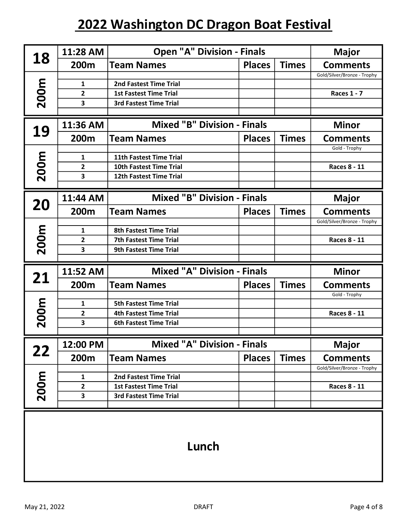|             | 11:28 AM                | <b>Open "A" Division - Finals</b>  |               |              | <b>Major</b>                                   |
|-------------|-------------------------|------------------------------------|---------------|--------------|------------------------------------------------|
| 18          | 200m                    | <b>Team Names</b>                  | <b>Places</b> | <b>Times</b> | <b>Comments</b>                                |
|             |                         |                                    |               |              | Gold/Silver/Bronze - Trophy                    |
|             | 1                       | <b>2nd Fastest Time Trial</b>      |               |              |                                                |
|             | 2                       | <b>1st Fastest Time Trial</b>      |               |              | <b>Races 1 - 7</b>                             |
| <b>200m</b> | 3                       | <b>3rd Fastest Time Trial</b>      |               |              |                                                |
|             |                         | <b>Mixed "B" Division - Finals</b> |               |              |                                                |
| 19          | 11:36 AM                | <b>Minor</b>                       |               |              |                                                |
|             | 200m                    | <b>Team Names</b>                  | <b>Places</b> | <b>Times</b> | <b>Comments</b>                                |
|             |                         |                                    |               |              | Gold - Trophy                                  |
|             | 1                       | 11th Fastest Time Trial            |               |              |                                                |
| 200m        | 2                       | <b>10th Fastest Time Trial</b>     |               |              | <b>Races 8 - 11</b>                            |
|             | 3                       | <b>12th Fastest Time Trial</b>     |               |              |                                                |
|             | 11:44 AM                | <b>Mixed "B" Division - Finals</b> |               |              | <b>Major</b>                                   |
| 20          | 200m                    | <b>Team Names</b>                  | <b>Places</b> | <b>Times</b> | <b>Comments</b>                                |
|             |                         |                                    |               |              | Gold/Silver/Bronze - Trophy                    |
|             | $\mathbf{1}$            | <b>8th Fastest Time Trial</b>      |               |              |                                                |
|             | $\overline{\mathbf{c}}$ | 7th Fastest Time Trial             |               |              | <b>Races 8 - 11</b>                            |
| 200m        | 3                       | <b>9th Fastest Time Trial</b>      |               |              |                                                |
|             |                         |                                    |               |              |                                                |
| 21          | 11:52 AM                | <b>Mixed "A" Division - Finals</b> |               |              | <b>Minor</b>                                   |
|             | 200m                    | <b>Team Names</b>                  | <b>Places</b> | <b>Times</b> | <b>Comments</b>                                |
|             |                         |                                    |               |              | Gold - Trophy                                  |
| <b>200m</b> | 1                       | <b>5th Fastest Time Trial</b>      |               |              |                                                |
|             | 2                       | <b>4th Fastest Time Trial</b>      |               |              | <b>Races 8 - 11</b>                            |
|             | 3                       | <b>6th Fastest Time Trial</b>      |               |              |                                                |
|             | 12:00 PM                | <b>Mixed "A" Division - Finals</b> |               |              | <b>Major</b>                                   |
| 22          |                         |                                    |               |              |                                                |
|             | 200m                    | <b>Team Names</b>                  | <b>Places</b> | <b>Times</b> | <b>Comments</b><br>Gold/Silver/Bronze - Trophy |
|             | 1                       | 2nd Fastest Time Trial             |               |              |                                                |
|             | $\overline{\mathbf{c}}$ | <b>1st Fastest Time Trial</b>      |               |              | Races 8 - 11                                   |
| 200m        | 3                       | <b>3rd Fastest Time Trial</b>      |               |              |                                                |
|             |                         |                                    |               |              |                                                |
|             |                         |                                    |               |              |                                                |

### Lunch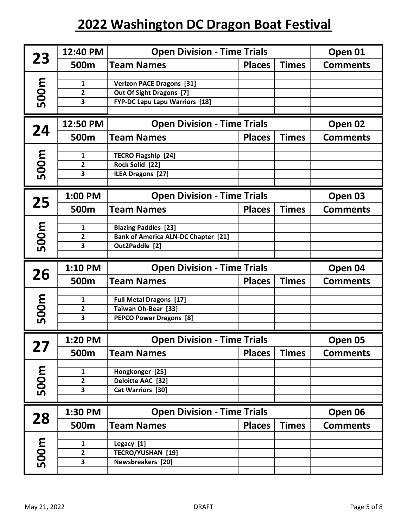| 23   | 12:40 PM       | <b>Open Division - Time Trials</b>         |               |              | Open 01         |
|------|----------------|--------------------------------------------|---------------|--------------|-----------------|
|      | 500m           | <b>Team Names</b>                          | <b>Places</b> | <b>Times</b> | <b>Comments</b> |
| 500m | 1              | <b>Verizon PACE Dragons [31]</b>           |               |              |                 |
|      | 2              | Out Of Sight Dragons [7]                   |               |              |                 |
|      | 3              | <b>FYP-DC Lapu Lapu Warriors [18]</b>      |               |              |                 |
| 24   | 12:50 PM       | <b>Open Division - Time Trials</b>         |               |              | Open 02         |
|      | 500m           | <b>Team Names</b>                          | <b>Places</b> | <b>Times</b> | <b>Comments</b> |
| 500m | 1              | <b>TECRO Flagship [24]</b>                 |               |              |                 |
|      | $\mathbf{2}$   | Rock Solid [22]                            |               |              |                 |
|      | 3              | <b>ILEA Dragons [27]</b>                   |               |              |                 |
| 25   | 1:00 PM        | <b>Open Division - Time Trials</b>         |               |              | Open 03         |
|      | 500m           | <b>Team Names</b>                          | <b>Places</b> | <b>Times</b> | <b>Comments</b> |
| 500m | 1              | <b>Blazing Paddles [23]</b>                |               |              |                 |
|      | 2              | <b>Bank of America ALN-DC Chapter [21]</b> |               |              |                 |
|      | 3              | Out2Paddle [2]                             |               |              |                 |
|      |                |                                            |               |              |                 |
|      | 1:10 PM        | <b>Open Division - Time Trials</b>         |               |              | Open 04         |
| 26   | 500m           | <b>Team Names</b>                          | <b>Places</b> | <b>Times</b> | <b>Comments</b> |
|      | 1              | <b>Full Metal Dragons [17]</b>             |               |              |                 |
|      | $\mathbf{2}$   | Taiwan Oh-Bear [33]                        |               |              |                 |
| 500m | 3              | <b>PEPCO Power Dragons [8]</b>             |               |              |                 |
|      | 1:20 PM        | <b>Open Division - Time Trials</b>         |               |              | Open 05         |
| 27   | 500m           | <b>Team Names</b>                          | <b>Places</b> | <b>Times</b> | <b>Comments</b> |
|      | 1              | Hongkonger [25]                            |               |              |                 |
|      | $\mathbf{2}$   | Deloitte AAC [32]                          |               |              |                 |
| 500m | 3              | Cat Warriors [30]                          |               |              |                 |
|      | 1:30 PM        | <b>Open Division - Time Trials</b>         |               |              | Open 06         |
| 28   | 500m           | <b>Team Names</b>                          | <b>Places</b> | <b>Times</b> | <b>Comments</b> |
|      | 1              | Legacy [1]                                 |               |              |                 |
|      | $\overline{2}$ | <b>TECRO/YUSHAN [19]</b>                   |               |              |                 |
| 500m | 3              | Newsbreakers [20]                          |               |              |                 |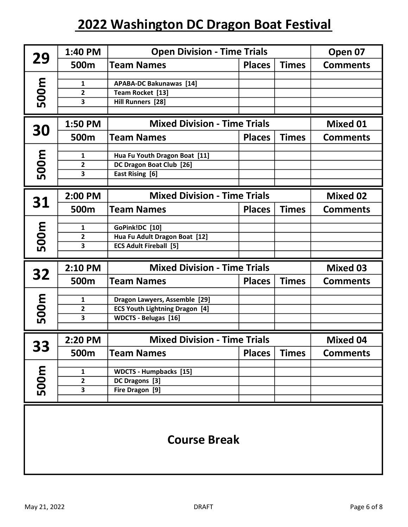| 29   | 1:40 PM                  | <b>Open Division - Time Trials</b>                                                                    |               |              | Open 07         |
|------|--------------------------|-------------------------------------------------------------------------------------------------------|---------------|--------------|-----------------|
|      | 500m                     | <b>Team Names</b>                                                                                     | <b>Places</b> | <b>Times</b> | <b>Comments</b> |
| 500m | 1<br>$\overline{2}$<br>3 | <b>APABA-DC Bakunawas [14]</b><br>Team Rocket [13]<br>Hill Runners [28]                               |               |              |                 |
|      | 1:50 PM                  | <b>Mixed Division - Time Trials</b>                                                                   |               |              | <b>Mixed 01</b> |
| 30   | 500m                     | <b>Team Names</b>                                                                                     | <b>Places</b> | <b>Times</b> | <b>Comments</b> |
| 500m | 1<br>$\overline{2}$<br>3 | Hua Fu Youth Dragon Boat [11]<br>DC Dragon Boat Club [26]<br>East Rising [6]                          |               |              |                 |
|      | 2:00 PM                  | <b>Mixed Division - Time Trials</b>                                                                   |               |              | <b>Mixed 02</b> |
| 31   | 500m                     | <b>Team Names</b>                                                                                     | <b>Places</b> | <b>Times</b> | <b>Comments</b> |
| 500m | 1<br>2<br>3              | GoPink!DC [10]<br>Hua Fu Adult Dragon Boat [12]<br><b>ECS Adult Fireball [5]</b>                      |               |              |                 |
|      | 2:10 PM                  | <b>Mixed Division - Time Trials</b>                                                                   |               |              | <b>Mixed 03</b> |
| 32   | 500m                     | <b>Team Names</b>                                                                                     | <b>Places</b> | <b>Times</b> | <b>Comments</b> |
| 500m | 1<br>2<br>3              | Dragon Lawyers, Assemble [29]<br><b>ECS Youth Lightning Dragon [4]</b><br><b>WDCTS - Belugas [16]</b> |               |              |                 |
|      | 2:20 PM                  | <b>Mixed Division - Time Trials</b>                                                                   |               |              | <b>Mixed 04</b> |
| 33   | 500m                     | <b>Team Names</b>                                                                                     | <b>Places</b> | <b>Times</b> | <b>Comments</b> |
| 500m | 1<br>2<br>3              | <b>WDCTS - Humpbacks [15]</b><br>DC Dragons [3]<br>Fire Dragon [9]                                    |               |              |                 |
|      |                          |                                                                                                       |               |              |                 |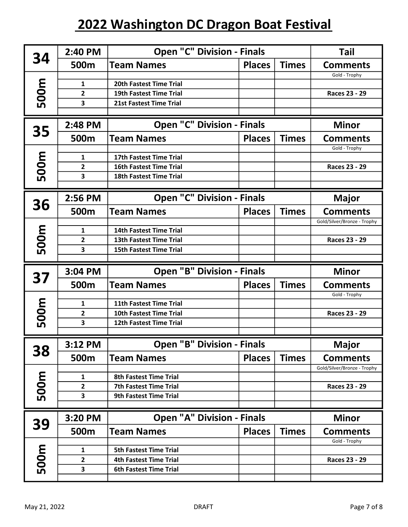| 34   | 2:40 PM             | <b>Open "C" Division - Finals</b>                                |               |              | <b>Tail</b>                     |
|------|---------------------|------------------------------------------------------------------|---------------|--------------|---------------------------------|
|      | 500m                | <b>Team Names</b>                                                | <b>Places</b> | <b>Times</b> | <b>Comments</b>                 |
|      |                     |                                                                  |               |              | Gold - Trophy                   |
| 500m | 1                   | 20th Fastest Time Trial                                          |               |              |                                 |
|      | $\overline{2}$<br>3 | <b>19th Fastest Time Trial</b><br><b>21st Fastest Time Trial</b> |               |              | Races 23 - 29                   |
|      |                     |                                                                  |               |              |                                 |
| 35   | 2:48 PM             | <b>Open "C" Division - Finals</b>                                |               |              | <b>Minor</b>                    |
|      | 500m                | <b>Team Names</b>                                                | <b>Places</b> | <b>Times</b> | <b>Comments</b>                 |
|      | $\mathbf{1}$        | 17th Fastest Time Trial                                          |               |              | Gold - Trophy                   |
| 500m | 2                   | <b>16th Fastest Time Trial</b>                                   |               |              | Races 23 - 29                   |
|      | 3                   | <b>18th Fastest Time Trial</b>                                   |               |              |                                 |
|      |                     |                                                                  |               |              |                                 |
|      | 2:56 PM             | <b>Open "C" Division - Finals</b>                                |               |              | <b>Major</b>                    |
| 36   | 500m                | <b>Team Names</b>                                                | <b>Places</b> | <b>Times</b> | <b>Comments</b>                 |
|      |                     |                                                                  |               |              | Gold/Silver/Bronze - Trophy     |
| 500m | $\mathbf{1}$        | 14th Fastest Time Trial                                          |               |              |                                 |
|      | $\overline{2}$      | <b>13th Fastest Time Trial</b>                                   |               |              | Races 23 - 29                   |
|      | 3                   | <b>15th Fastest Time Trial</b>                                   |               |              |                                 |
|      |                     |                                                                  |               |              |                                 |
|      | 3:04 PM             | <b>Open "B" Division - Finals</b>                                |               |              | <b>Minor</b>                    |
| 37   | 500m                | <b>Team Names</b>                                                | <b>Places</b> | <b>Times</b> | <b>Comments</b>                 |
|      |                     |                                                                  |               |              | Gold - Trophy                   |
|      | 1                   | 11th Fastest Time Trial                                          |               |              |                                 |
|      | $\overline{2}$      | <b>10th Fastest Time Trial</b>                                   |               |              | <b>Races 23 - 29</b>            |
| 500m | 3                   | 12th Fastest Time Trial                                          |               |              |                                 |
|      | $3:12$ PM           | <b>Open "B" Division - Finals</b>                                |               |              | <b>Major</b>                    |
| 38   | 500m                | <b>Team Names</b>                                                | <b>Places</b> | <b>Times</b> | <b>Comments</b>                 |
|      |                     |                                                                  |               |              | Gold/Silver/Bronze - Trophy     |
|      | 1                   | <b>8th Fastest Time Trial</b>                                    |               |              |                                 |
|      | 2                   | <b>7th Fastest Time Trial</b>                                    |               |              | Races 23 - 29                   |
| 500m | 3                   | <b>9th Fastest Time Trial</b>                                    |               |              |                                 |
|      |                     |                                                                  |               |              |                                 |
| 39   | 3:20 PM<br>500m     | <b>Open "A" Division - Finals</b><br><b>Team Names</b>           | <b>Places</b> | <b>Times</b> | <b>Minor</b><br><b>Comments</b> |
|      |                     |                                                                  |               |              | Gold - Trophy                   |
|      | $\mathbf{1}$        | <b>5th Fastest Time Trial</b>                                    |               |              |                                 |
|      | $\mathbf{2}$        | <b>4th Fastest Time Trial</b>                                    |               |              | Races 23 - 29                   |
| 500m | 3                   | <b>6th Fastest Time Trial</b>                                    |               |              |                                 |